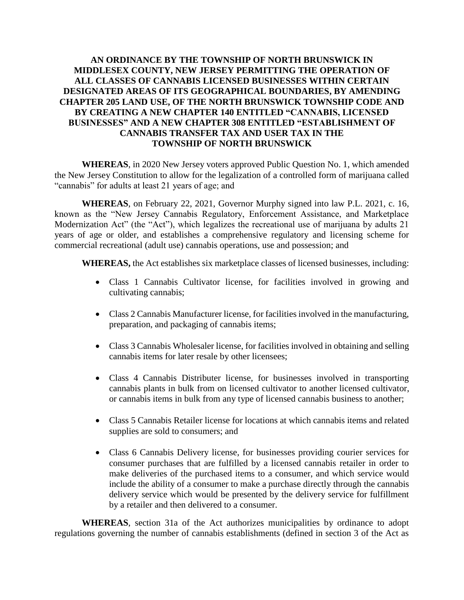## **AN ORDINANCE BY THE TOWNSHIP OF NORTH BRUNSWICK IN MIDDLESEX COUNTY, NEW JERSEY PERMITTING THE OPERATION OF ALL CLASSES OF CANNABIS LICENSED BUSINESSES WITHIN CERTAIN DESIGNATED AREAS OF ITS GEOGRAPHICAL BOUNDARIES, BY AMENDING CHAPTER 205 LAND USE, OF THE NORTH BRUNSWICK TOWNSHIP CODE AND BY CREATING A NEW CHAPTER 140 ENTITLED "CANNABIS, LICENSED BUSINESSES" AND A NEW CHAPTER 308 ENTITLED "ESTABLISHMENT OF CANNABIS TRANSFER TAX AND USER TAX IN THE TOWNSHIP OF NORTH BRUNSWICK**

**WHEREAS**, in 2020 New Jersey voters approved Public Question No. 1, which amended the New Jersey Constitution to allow for the legalization of a controlled form of marijuana called "cannabis" for adults at least 21 years of age; and

**WHEREAS**, on February 22, 2021, Governor Murphy signed into law P.L. 2021, c. 16, known as the "New Jersey Cannabis Regulatory, Enforcement Assistance, and Marketplace Modernization Act" (the "Act"), which legalizes the recreational use of marijuana by adults 21 years of age or older, and establishes a comprehensive regulatory and licensing scheme for commercial recreational (adult use) cannabis operations, use and possession; and

**WHEREAS,** the Act establishes six marketplace classes of licensed businesses, including:

- Class 1 Cannabis Cultivator license, for facilities involved in growing and cultivating cannabis;
- Class 2 Cannabis Manufacturer license, for facilities involved in the manufacturing, preparation, and packaging of cannabis items;
- Class 3 Cannabis Wholesaler license, for facilities involved in obtaining and selling cannabis items for later resale by other licensees;
- Class 4 Cannabis Distributer license, for businesses involved in transporting cannabis plants in bulk from on licensed cultivator to another licensed cultivator, or cannabis items in bulk from any type of licensed cannabis business to another;
- Class 5 Cannabis Retailer license for locations at which cannabis items and related supplies are sold to consumers; and
- Class 6 Cannabis Delivery license, for businesses providing courier services for consumer purchases that are fulfilled by a licensed cannabis retailer in order to make deliveries of the purchased items to a consumer, and which service would include the ability of a consumer to make a purchase directly through the cannabis delivery service which would be presented by the delivery service for fulfillment by a retailer and then delivered to a consumer.

**WHEREAS**, section 31a of the Act authorizes municipalities by ordinance to adopt regulations governing the number of cannabis establishments (defined in section 3 of the Act as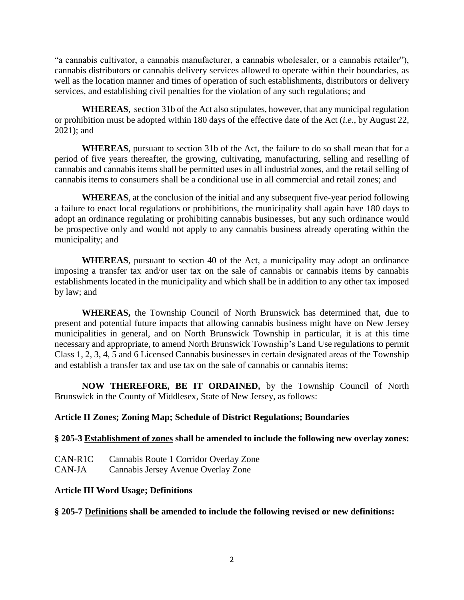"a cannabis cultivator, a cannabis manufacturer, a cannabis wholesaler, or a cannabis retailer"), cannabis distributors or cannabis delivery services allowed to operate within their boundaries, as well as the location manner and times of operation of such establishments, distributors or delivery services, and establishing civil penalties for the violation of any such regulations; and

**WHEREAS**, section 31b of the Act also stipulates, however, that any municipal regulation or prohibition must be adopted within 180 days of the effective date of the Act (*i.e.*, by August 22, 2021); and

**WHEREAS**, pursuant to section 31b of the Act, the failure to do so shall mean that for a period of five years thereafter, the growing, cultivating, manufacturing, selling and reselling of cannabis and cannabis items shall be permitted uses in all industrial zones, and the retail selling of cannabis items to consumers shall be a conditional use in all commercial and retail zones; and

**WHEREAS**, at the conclusion of the initial and any subsequent five-year period following a failure to enact local regulations or prohibitions, the municipality shall again have 180 days to adopt an ordinance regulating or prohibiting cannabis businesses, but any such ordinance would be prospective only and would not apply to any cannabis business already operating within the municipality; and

**WHEREAS**, pursuant to section 40 of the Act, a municipality may adopt an ordinance imposing a transfer tax and/or user tax on the sale of cannabis or cannabis items by cannabis establishments located in the municipality and which shall be in addition to any other tax imposed by law; and

**WHEREAS,** the Township Council of North Brunswick has determined that, due to present and potential future impacts that allowing cannabis business might have on New Jersey municipalities in general, and on North Brunswick Township in particular, it is at this time necessary and appropriate, to amend North Brunswick Township's Land Use regulations to permit Class 1, 2, 3, 4, 5 and 6 Licensed Cannabis businesses in certain designated areas of the Township and establish a transfer tax and use tax on the sale of cannabis or cannabis items;

**NOW THEREFORE, BE IT ORDAINED,** by the Township Council of North Brunswick in the County of Middlesex, State of New Jersey, as follows:

# **Article II Zones; Zoning Map; Schedule of District Regulations; Boundaries**

### **§ 205-3 Establishment of zones shall be amended to include the following new overlay zones:**

CAN-R1C Cannabis Route 1 Corridor Overlay Zone CAN-JA Cannabis Jersey Avenue Overlay Zone

### **Article III Word Usage; Definitions**

### **§ 205-7 Definitions shall be amended to include the following revised or new definitions:**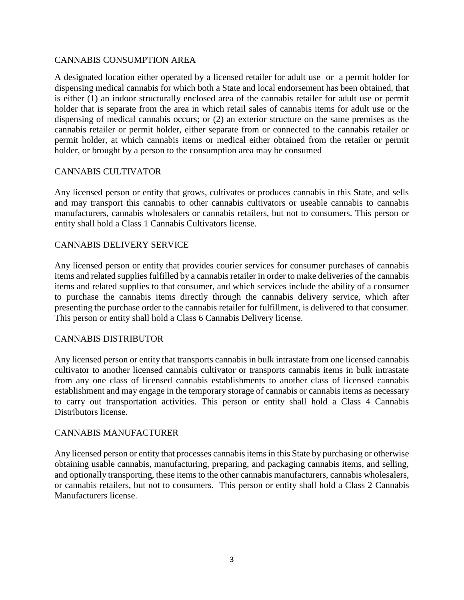### CANNABIS CONSUMPTION AREA

A designated location either operated by a licensed retailer for adult use or a permit holder for dispensing medical cannabis for which both a State and local endorsement has been obtained, that is either (1) an indoor structurally enclosed area of the cannabis retailer for adult use or permit holder that is separate from the area in which retail sales of cannabis items for adult use or the dispensing of medical cannabis occurs; or (2) an exterior structure on the same premises as the cannabis retailer or permit holder, either separate from or connected to the cannabis retailer or permit holder, at which cannabis items or medical either obtained from the retailer or permit holder, or brought by a person to the consumption area may be consumed

# CANNABIS CULTIVATOR

Any licensed person or entity that grows, cultivates or produces cannabis in this State, and sells and may transport this cannabis to other cannabis cultivators or useable cannabis to cannabis manufacturers, cannabis wholesalers or cannabis retailers, but not to consumers. This person or entity shall hold a Class 1 Cannabis Cultivators license.

### CANNABIS DELIVERY SERVICE

Any licensed person or entity that provides courier services for consumer purchases of cannabis items and related supplies fulfilled by a cannabis retailer in order to make deliveries of the cannabis items and related supplies to that consumer, and which services include the ability of a consumer to purchase the cannabis items directly through the cannabis delivery service, which after presenting the purchase order to the cannabis retailer for fulfillment, is delivered to that consumer. This person or entity shall hold a Class 6 Cannabis Delivery license.

### CANNABIS DISTRIBUTOR

Any licensed person or entity that transports cannabis in bulk intrastate from one licensed cannabis cultivator to another licensed cannabis cultivator or transports cannabis items in bulk intrastate from any one class of licensed cannabis establishments to another class of licensed cannabis establishment and may engage in the temporary storage of cannabis or cannabis items as necessary to carry out transportation activities. This person or entity shall hold a Class 4 Cannabis Distributors license.

### CANNABIS MANUFACTURER

Any licensed person or entity that processes cannabis items in this State by purchasing or otherwise obtaining usable cannabis, manufacturing, preparing, and packaging cannabis items, and selling, and optionally transporting, these items to the other cannabis manufacturers, cannabis wholesalers, or cannabis retailers, but not to consumers. This person or entity shall hold a Class 2 Cannabis Manufacturers license.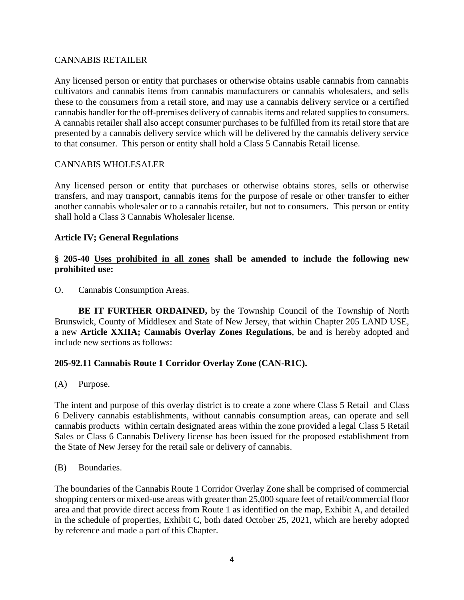### CANNABIS RETAILER

Any licensed person or entity that purchases or otherwise obtains usable cannabis from cannabis cultivators and cannabis items from cannabis manufacturers or cannabis wholesalers, and sells these to the consumers from a retail store, and may use a cannabis delivery service or a certified cannabis handler for the off-premises delivery of cannabis items and related supplies to consumers. A cannabis retailer shall also accept consumer purchases to be fulfilled from its retail store that are presented by a cannabis delivery service which will be delivered by the cannabis delivery service to that consumer. This person or entity shall hold a Class 5 Cannabis Retail license.

### CANNABIS WHOLESALER

Any licensed person or entity that purchases or otherwise obtains stores, sells or otherwise transfers, and may transport, cannabis items for the purpose of resale or other transfer to either another cannabis wholesaler or to a cannabis retailer, but not to consumers. This person or entity shall hold a Class 3 Cannabis Wholesaler license.

### **Article IV; General Regulations**

### **§ 205-40 Uses prohibited in all zones shall be amended to include the following new prohibited use:**

O. Cannabis Consumption Areas.

**BE IT FURTHER ORDAINED,** by the Township Council of the Township of North Brunswick, County of Middlesex and State of New Jersey, that within Chapter 205 LAND USE, a new **Article XXIIA; Cannabis Overlay Zones Regulations**, be and is hereby adopted and include new sections as follows:

### **205-92.11 Cannabis Route 1 Corridor Overlay Zone (CAN-R1C).**

(A) Purpose.

The intent and purpose of this overlay district is to create a zone where Class 5 Retail and Class 6 Delivery cannabis establishments, without cannabis consumption areas, can operate and sell cannabis products within certain designated areas within the zone provided a legal Class 5 Retail Sales or Class 6 Cannabis Delivery license has been issued for the proposed establishment from the State of New Jersey for the retail sale or delivery of cannabis.

#### (B) Boundaries.

The boundaries of the Cannabis Route 1 Corridor Overlay Zone shall be comprised of commercial shopping centers or mixed-use areas with greater than 25,000 square feet of retail/commercial floor area and that provide direct access from Route 1 as identified on the map, Exhibit A, and detailed in the schedule of properties, Exhibit C, both dated October 25, 2021, which are hereby adopted by reference and made a part of this Chapter.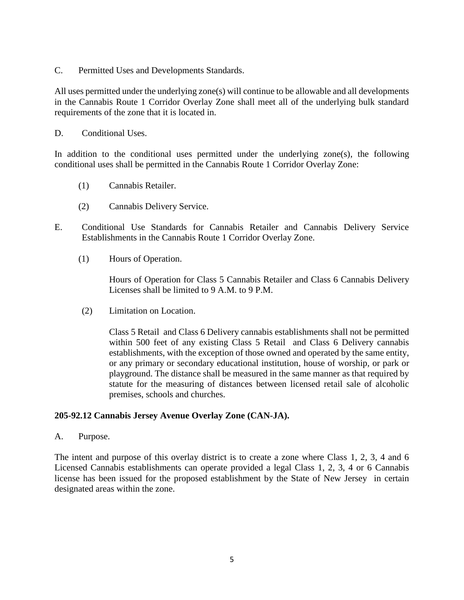C. Permitted Uses and Developments Standards.

All uses permitted under the underlying zone(s) will continue to be allowable and all developments in the Cannabis Route 1 Corridor Overlay Zone shall meet all of the underlying bulk standard requirements of the zone that it is located in.

D. Conditional Uses.

In addition to the conditional uses permitted under the underlying zone $(s)$ , the following conditional uses shall be permitted in the Cannabis Route 1 Corridor Overlay Zone:

- (1) Cannabis Retailer.
- (2) Cannabis Delivery Service.
- E. Conditional Use Standards for Cannabis Retailer and Cannabis Delivery Service Establishments in the Cannabis Route 1 Corridor Overlay Zone.
	- (1) Hours of Operation.

Hours of Operation for Class 5 Cannabis Retailer and Class 6 Cannabis Delivery Licenses shall be limited to 9 A.M. to 9 P.M.

(2) Limitation on Location.

Class 5 Retail and Class 6 Delivery cannabis establishments shall not be permitted within 500 feet of any existing Class 5 Retail and Class 6 Delivery cannabis establishments, with the exception of those owned and operated by the same entity, or any primary or secondary educational institution, house of worship, or park or playground. The distance shall be measured in the same manner as that required by statute for the measuring of distances between licensed retail sale of alcoholic premises, schools and churches.

### **205-92.12 Cannabis Jersey Avenue Overlay Zone (CAN-JA).**

A. Purpose.

The intent and purpose of this overlay district is to create a zone where Class 1, 2, 3, 4 and 6 Licensed Cannabis establishments can operate provided a legal Class 1, 2, 3, 4 or 6 Cannabis license has been issued for the proposed establishment by the State of New Jersey in certain designated areas within the zone.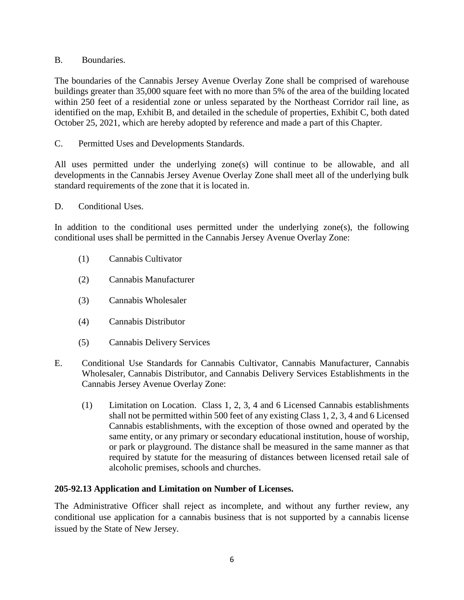## B. Boundaries.

The boundaries of the Cannabis Jersey Avenue Overlay Zone shall be comprised of warehouse buildings greater than 35,000 square feet with no more than 5% of the area of the building located within 250 feet of a residential zone or unless separated by the Northeast Corridor rail line, as identified on the map, Exhibit B, and detailed in the schedule of properties, Exhibit C, both dated October 25, 2021, which are hereby adopted by reference and made a part of this Chapter.

C. Permitted Uses and Developments Standards.

All uses permitted under the underlying zone(s) will continue to be allowable, and all developments in the Cannabis Jersey Avenue Overlay Zone shall meet all of the underlying bulk standard requirements of the zone that it is located in.

### D. Conditional Uses.

In addition to the conditional uses permitted under the underlying zone(s), the following conditional uses shall be permitted in the Cannabis Jersey Avenue Overlay Zone:

- (1) Cannabis Cultivator
- (2) Cannabis Manufacturer
- (3) Cannabis Wholesaler
- (4) Cannabis Distributor
- (5) Cannabis Delivery Services
- E. Conditional Use Standards for Cannabis Cultivator, Cannabis Manufacturer, Cannabis Wholesaler, Cannabis Distributor, and Cannabis Delivery Services Establishments in the Cannabis Jersey Avenue Overlay Zone:
	- (1) Limitation on Location. Class 1, 2, 3, 4 and 6 Licensed Cannabis establishments shall not be permitted within 500 feet of any existing Class 1, 2, 3, 4 and 6 Licensed Cannabis establishments, with the exception of those owned and operated by the same entity, or any primary or secondary educational institution, house of worship, or park or playground. The distance shall be measured in the same manner as that required by statute for the measuring of distances between licensed retail sale of alcoholic premises, schools and churches.

# **205-92.13 Application and Limitation on Number of Licenses.**

The Administrative Officer shall reject as incomplete, and without any further review, any conditional use application for a cannabis business that is not supported by a cannabis license issued by the State of New Jersey.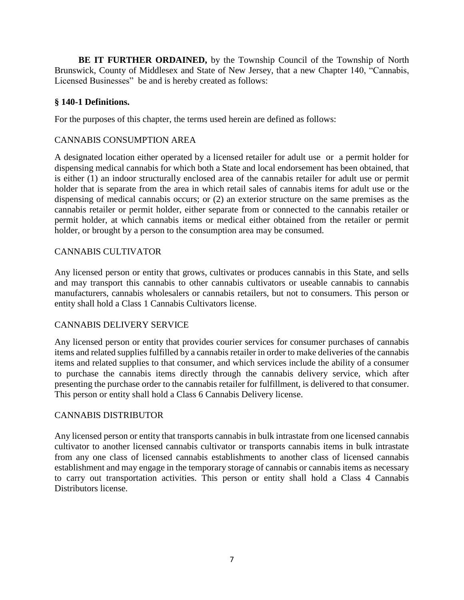**BE IT FURTHER ORDAINED,** by the Township Council of the Township of North Brunswick, County of Middlesex and State of New Jersey, that a new Chapter 140, "Cannabis, Licensed Businesses" be and is hereby created as follows:

## **§ 140-1 Definitions.**

For the purposes of this chapter, the terms used herein are defined as follows:

## CANNABIS CONSUMPTION AREA

A designated location either operated by a licensed retailer for adult use or a permit holder for dispensing medical cannabis for which both a State and local endorsement has been obtained, that is either (1) an indoor structurally enclosed area of the cannabis retailer for adult use or permit holder that is separate from the area in which retail sales of cannabis items for adult use or the dispensing of medical cannabis occurs; or (2) an exterior structure on the same premises as the cannabis retailer or permit holder, either separate from or connected to the cannabis retailer or permit holder, at which cannabis items or medical either obtained from the retailer or permit holder, or brought by a person to the consumption area may be consumed.

### CANNABIS CULTIVATOR

Any licensed person or entity that grows, cultivates or produces cannabis in this State, and sells and may transport this cannabis to other cannabis cultivators or useable cannabis to cannabis manufacturers, cannabis wholesalers or cannabis retailers, but not to consumers. This person or entity shall hold a Class 1 Cannabis Cultivators license.

### CANNABIS DELIVERY SERVICE

Any licensed person or entity that provides courier services for consumer purchases of cannabis items and related supplies fulfilled by a cannabis retailer in order to make deliveries of the cannabis items and related supplies to that consumer, and which services include the ability of a consumer to purchase the cannabis items directly through the cannabis delivery service, which after presenting the purchase order to the cannabis retailer for fulfillment, is delivered to that consumer. This person or entity shall hold a Class 6 Cannabis Delivery license.

### CANNABIS DISTRIBUTOR

Any licensed person or entity that transports cannabis in bulk intrastate from one licensed cannabis cultivator to another licensed cannabis cultivator or transports cannabis items in bulk intrastate from any one class of licensed cannabis establishments to another class of licensed cannabis establishment and may engage in the temporary storage of cannabis or cannabis items as necessary to carry out transportation activities. This person or entity shall hold a Class 4 Cannabis Distributors license.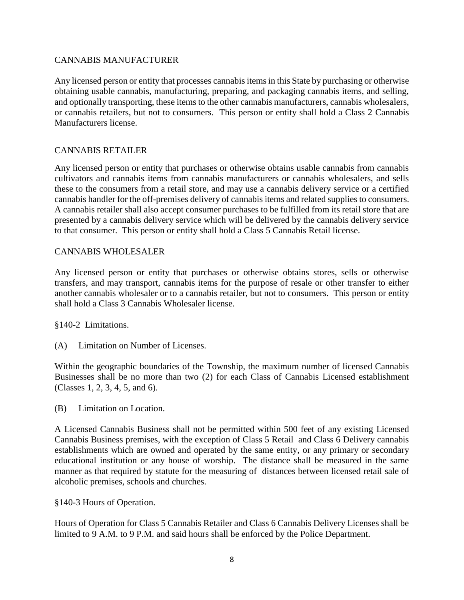# CANNABIS MANUFACTURER

Any licensed person or entity that processes cannabis items in this State by purchasing or otherwise obtaining usable cannabis, manufacturing, preparing, and packaging cannabis items, and selling, and optionally transporting, these items to the other cannabis manufacturers, cannabis wholesalers, or cannabis retailers, but not to consumers. This person or entity shall hold a Class 2 Cannabis Manufacturers license.

# CANNABIS RETAILER

Any licensed person or entity that purchases or otherwise obtains usable cannabis from cannabis cultivators and cannabis items from cannabis manufacturers or cannabis wholesalers, and sells these to the consumers from a retail store, and may use a cannabis delivery service or a certified cannabis handler for the off-premises delivery of cannabis items and related supplies to consumers. A cannabis retailer shall also accept consumer purchases to be fulfilled from its retail store that are presented by a cannabis delivery service which will be delivered by the cannabis delivery service to that consumer. This person or entity shall hold a Class 5 Cannabis Retail license.

# CANNABIS WHOLESALER

Any licensed person or entity that purchases or otherwise obtains stores, sells or otherwise transfers, and may transport, cannabis items for the purpose of resale or other transfer to either another cannabis wholesaler or to a cannabis retailer, but not to consumers. This person or entity shall hold a Class 3 Cannabis Wholesaler license.

§140-2 Limitations.

(A) Limitation on Number of Licenses.

Within the geographic boundaries of the Township, the maximum number of licensed Cannabis Businesses shall be no more than two (2) for each Class of Cannabis Licensed establishment (Classes 1, 2, 3, 4, 5, and 6).

(B) Limitation on Location.

A Licensed Cannabis Business shall not be permitted within 500 feet of any existing Licensed Cannabis Business premises, with the exception of Class 5 Retail and Class 6 Delivery cannabis establishments which are owned and operated by the same entity, or any primary or secondary educational institution or any house of worship. The distance shall be measured in the same manner as that required by statute for the measuring of distances between licensed retail sale of alcoholic premises, schools and churches.

§140-3 Hours of Operation.

Hours of Operation for Class 5 Cannabis Retailer and Class 6 Cannabis Delivery Licenses shall be limited to 9 A.M. to 9 P.M. and said hours shall be enforced by the Police Department.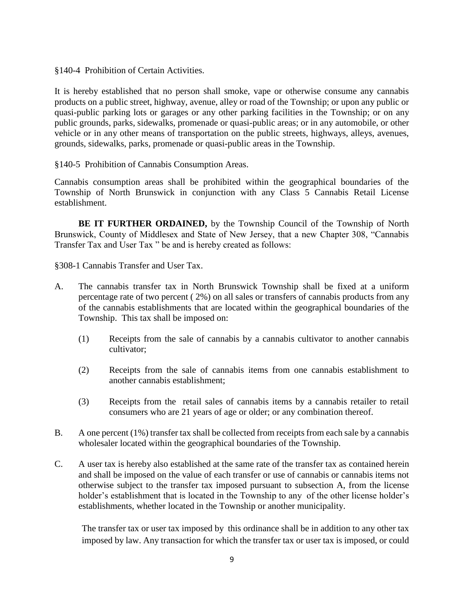§140-4 Prohibition of Certain Activities.

It is hereby established that no person shall smoke, vape or otherwise consume any cannabis products on a public street, highway, avenue, alley or road of the Township; or upon any public or quasi-public parking lots or garages or any other parking facilities in the Township; or on any public grounds, parks, sidewalks, promenade or quasi-public areas; or in any automobile, or other vehicle or in any other means of transportation on the public streets, highways, alleys, avenues, grounds, sidewalks, parks, promenade or quasi-public areas in the Township.

§140-5 Prohibition of Cannabis Consumption Areas.

Cannabis consumption areas shall be prohibited within the geographical boundaries of the Township of North Brunswick in conjunction with any Class 5 Cannabis Retail License establishment.

**BE IT FURTHER ORDAINED,** by the Township Council of the Township of North Brunswick, County of Middlesex and State of New Jersey, that a new Chapter 308, "Cannabis Transfer Tax and User Tax " be and is hereby created as follows:

§308-1 Cannabis Transfer and User Tax.

- A. The cannabis transfer tax in North Brunswick Township shall be fixed at a uniform percentage rate of two percent ( 2%) on all sales or transfers of cannabis products from any of the cannabis establishments that are located within the geographical boundaries of the Township. This tax shall be imposed on:
	- (1) Receipts from the sale of cannabis by a cannabis cultivator to another cannabis cultivator:
	- (2) Receipts from the sale of cannabis items from one cannabis establishment to another cannabis establishment;
	- (3) Receipts from the retail sales of cannabis items by a cannabis retailer to retail consumers who are 21 years of age or older; or any combination thereof.
- B. A one percent (1%) transfer tax shall be collected from receipts from each sale by a cannabis wholesaler located within the geographical boundaries of the Township.
- C. A user tax is hereby also established at the same rate of the transfer tax as contained herein and shall be imposed on the value of each transfer or use of cannabis or cannabis items not otherwise subject to the transfer tax imposed pursuant to subsection A, from the license holder's establishment that is located in the Township to any of the other license holder's establishments, whether located in the Township or another municipality.

The transfer tax or user tax imposed by this ordinance shall be in addition to any other tax imposed by law. Any transaction for which the transfer tax or user tax is imposed, or could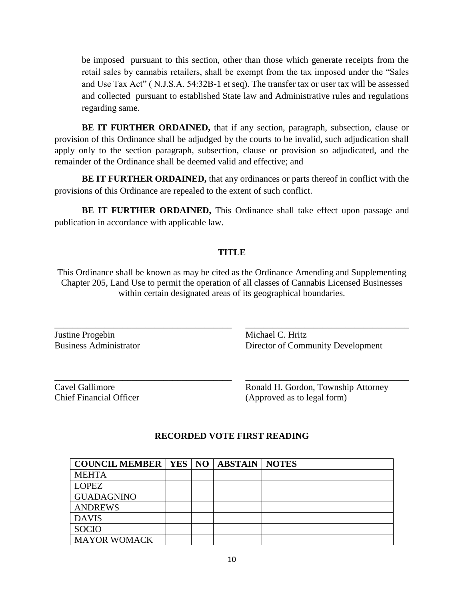be imposed pursuant to this section, other than those which generate receipts from the retail sales by cannabis retailers, shall be exempt from the tax imposed under the "Sales and Use Tax Act" ( N.J.S.A. 54:32B-1 et seq). The transfer tax or user tax will be assessed and collected pursuant to established State law and Administrative rules and regulations regarding same.

**BE IT FURTHER ORDAINED,** that if any section, paragraph, subsection, clause or provision of this Ordinance shall be adjudged by the courts to be invalid, such adjudication shall apply only to the section paragraph, subsection, clause or provision so adjudicated, and the remainder of the Ordinance shall be deemed valid and effective; and

**BE IT FURTHER ORDAINED,** that any ordinances or parts thereof in conflict with the provisions of this Ordinance are repealed to the extent of such conflict.

**BE IT FURTHER ORDAINED,** This Ordinance shall take effect upon passage and publication in accordance with applicable law.

# **TITLE**

This Ordinance shall be known as may be cited as the Ordinance Amending and Supplementing Chapter 205, Land Use to permit the operation of all classes of Cannabis Licensed Businesses within certain designated areas of its geographical boundaries.

\_\_\_\_\_\_\_\_\_\_\_\_\_\_\_\_\_\_\_\_\_\_\_\_\_\_\_\_\_\_\_\_\_\_\_\_\_\_\_ \_\_\_\_\_\_\_\_\_\_\_\_\_\_\_\_\_\_\_\_\_\_\_\_\_\_\_\_\_\_\_\_\_\_\_\_

\_\_\_\_\_\_\_\_\_\_\_\_\_\_\_\_\_\_\_\_\_\_\_\_\_\_\_\_\_\_\_\_\_\_\_\_\_\_\_ \_\_\_\_\_\_\_\_\_\_\_\_\_\_\_\_\_\_\_\_\_\_\_\_\_\_\_\_\_\_\_\_\_\_\_\_

Justine Progebin Michael C. Hritz

Business Administrator Director of Community Development

Cavel Gallimore **Ronald H. Gordon, Township Attorney** Chief Financial Officer (Approved as to legal form)

| <b>COUNCIL MEMBER   YES   NO   ABSTAIN   NOTES</b> |  |  |
|----------------------------------------------------|--|--|
| <b>MEHTA</b>                                       |  |  |
| <b>LOPEZ</b>                                       |  |  |
| <b>GUADAGNINO</b>                                  |  |  |
| <b>ANDREWS</b>                                     |  |  |
| <b>DAVIS</b>                                       |  |  |
| <b>SOCIO</b>                                       |  |  |
| <b>MAYOR WOMACK</b>                                |  |  |

# **RECORDED VOTE FIRST READING**